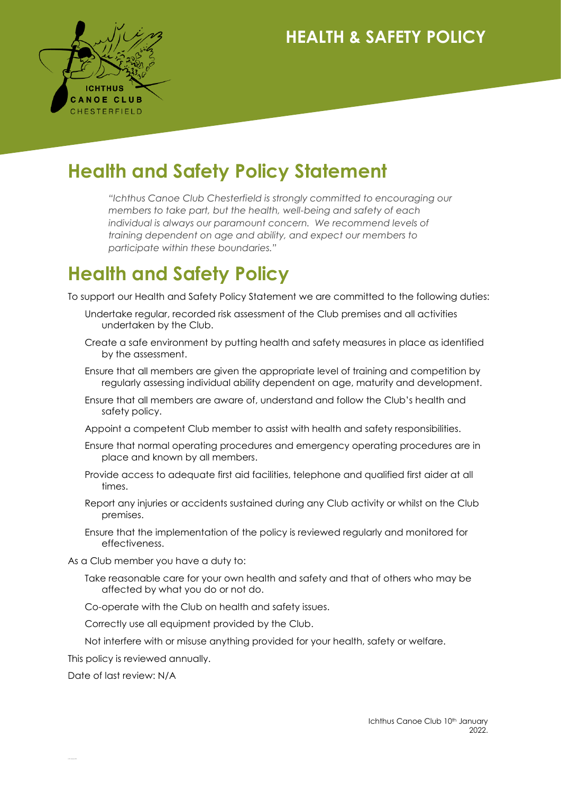#### **HEALTH & SAFETY POLICY**



### **Health and Safety Policy Statement**

*"Ichthus Canoe Club Chesterfield is strongly committed to encouraging our members to take part, but the health, well-being and safety of each individual is always our paramount concern. We recommend levels of training dependent on age and ability, and expect our members to participate within these boundaries."*

### **Health and Safety Policy**

To support our Health and Safety Policy Statement we are committed to the following duties:

- Undertake regular, recorded risk assessment of the Club premises and all activities undertaken by the Club.
- Create a safe environment by putting health and safety measures in place as identified by the assessment.
- Ensure that all members are given the appropriate level of training and competition by regularly assessing individual ability dependent on age, maturity and development.
- Ensure that all members are aware of, understand and follow the Club's health and safety policy.
- Appoint a competent Club member to assist with health and safety responsibilities.
- Ensure that normal operating procedures and emergency operating procedures are in place and known by all members.
- Provide access to adequate first aid facilities, telephone and qualified first aider at all times.
- Report any injuries or accidents sustained during any Club activity or whilst on the Club premises.
- Ensure that the implementation of the policy is reviewed regularly and monitored for effectiveness.
- As a Club member you have a duty to:
	- Take reasonable care for your own health and safety and that of others who may be affected by what you do or not do.
	- Co-operate with the Club on health and safety issues.
	- Correctly use all equipment provided by the Club.
	- Not interfere with or misuse anything provided for your health, safety or welfare.

This policy is reviewed annually.

Date of last review: N/A